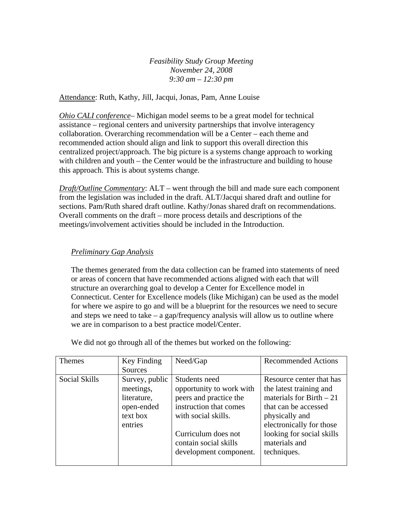*Feasibility Study Group Meeting November 24, 2008 9:30 am – 12:30 pm* 

Attendance: Ruth, Kathy, Jill, Jacqui, Jonas, Pam, Anne Louise

*Ohio CALI conference*– Michigan model seems to be a great model for technical assistance – regional centers and university partnerships that involve interagency collaboration. Overarching recommendation will be a Center – each theme and recommended action should align and link to support this overall direction this centralized project/approach. The big picture is a systems change approach to working with children and youth – the Center would be the infrastructure and building to house this approach. This is about systems change.

*Draft/Outline Commentary*: ALT – went through the bill and made sure each component from the legislation was included in the draft. ALT/Jacqui shared draft and outline for sections. Pam/Ruth shared draft outline. Kathy/Jonas shared draft on recommendations. Overall comments on the draft – more process details and descriptions of the meetings/involvement activities should be included in the Introduction.

## *Preliminary Gap Analysis*

The themes generated from the data collection can be framed into statements of need or areas of concern that have recommended actions aligned with each that will structure an overarching goal to develop a Center for Excellence model in Connecticut. Center for Excellence models (like Michigan) can be used as the model for where we aspire to go and will be a blueprint for the resources we need to secure and steps we need to take  $-$  a gap/frequency analysis will allow us to outline where we are in comparison to a best practice model/Center.

We did not go through all of the themes but worked on the following:

| <b>Themes</b> | Key Finding<br><b>Sources</b>                                                   | Need/Gap                                                                                                                                                                                       | <b>Recommended Actions</b>                                                                                                                                                                                          |
|---------------|---------------------------------------------------------------------------------|------------------------------------------------------------------------------------------------------------------------------------------------------------------------------------------------|---------------------------------------------------------------------------------------------------------------------------------------------------------------------------------------------------------------------|
| Social Skills | Survey, public<br>meetings,<br>literature,<br>open-ended<br>text box<br>entries | Students need<br>opportunity to work with<br>peers and practice the<br>instruction that comes<br>with social skills.<br>Curriculum does not<br>contain social skills<br>development component. | Resource center that has<br>the latest training and<br>materials for Birth $-21$<br>that can be accessed<br>physically and<br>electronically for those<br>looking for social skills<br>materials and<br>techniques. |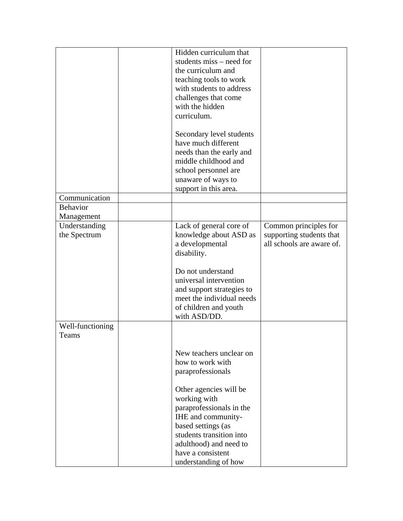|                               | Hidden curriculum that<br>students miss – need for<br>the curriculum and<br>teaching tools to work<br>with students to address<br>challenges that come<br>with the hidden<br>curriculum.                          |                                                                                |
|-------------------------------|-------------------------------------------------------------------------------------------------------------------------------------------------------------------------------------------------------------------|--------------------------------------------------------------------------------|
|                               | Secondary level students<br>have much different<br>needs than the early and<br>middle childhood and<br>school personnel are<br>unaware of ways to<br>support in this area.                                        |                                                                                |
| Communication                 |                                                                                                                                                                                                                   |                                                                                |
| <b>Behavior</b>               |                                                                                                                                                                                                                   |                                                                                |
| Management                    |                                                                                                                                                                                                                   |                                                                                |
| Understanding<br>the Spectrum | Lack of general core of<br>knowledge about ASD as<br>a developmental<br>disability.                                                                                                                               | Common principles for<br>supporting students that<br>all schools are aware of. |
|                               | Do not understand<br>universal intervention<br>and support strategies to<br>meet the individual needs<br>of children and youth<br>with ASD/DD.                                                                    |                                                                                |
| Well-functioning<br>Teams     |                                                                                                                                                                                                                   |                                                                                |
|                               | New teachers unclear on<br>how to work with<br>paraprofessionals                                                                                                                                                  |                                                                                |
|                               | Other agencies will be<br>working with<br>paraprofessionals in the<br>IHE and community-<br>based settings (as<br>students transition into<br>adulthood) and need to<br>have a consistent<br>understanding of how |                                                                                |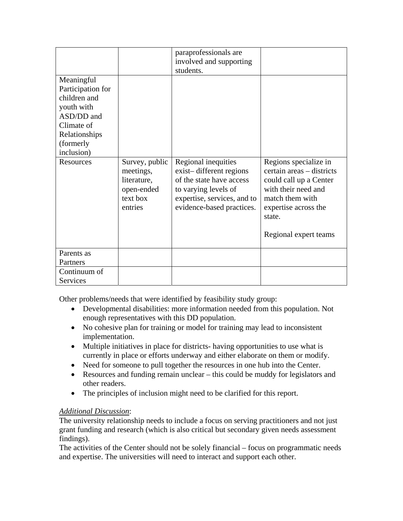|                   |                                                                                 | paraprofessionals are                                                                                                                                          |                                                                                                                                                                                   |
|-------------------|---------------------------------------------------------------------------------|----------------------------------------------------------------------------------------------------------------------------------------------------------------|-----------------------------------------------------------------------------------------------------------------------------------------------------------------------------------|
|                   |                                                                                 | involved and supporting                                                                                                                                        |                                                                                                                                                                                   |
|                   |                                                                                 | students.                                                                                                                                                      |                                                                                                                                                                                   |
| Meaningful        |                                                                                 |                                                                                                                                                                |                                                                                                                                                                                   |
| Participation for |                                                                                 |                                                                                                                                                                |                                                                                                                                                                                   |
| children and      |                                                                                 |                                                                                                                                                                |                                                                                                                                                                                   |
| youth with        |                                                                                 |                                                                                                                                                                |                                                                                                                                                                                   |
| ASD/DD and        |                                                                                 |                                                                                                                                                                |                                                                                                                                                                                   |
| Climate of        |                                                                                 |                                                                                                                                                                |                                                                                                                                                                                   |
| Relationships     |                                                                                 |                                                                                                                                                                |                                                                                                                                                                                   |
| (formerly         |                                                                                 |                                                                                                                                                                |                                                                                                                                                                                   |
| inclusion)        |                                                                                 |                                                                                                                                                                |                                                                                                                                                                                   |
| Resources         | Survey, public<br>meetings,<br>literature,<br>open-ended<br>text box<br>entries | Regional inequities<br>exist-different regions<br>of the state have access<br>to varying levels of<br>expertise, services, and to<br>evidence-based practices. | Regions specialize in<br>certain areas – districts<br>could call up a Center<br>with their need and<br>match them with<br>expertise across the<br>state.<br>Regional expert teams |
| Parents as        |                                                                                 |                                                                                                                                                                |                                                                                                                                                                                   |
| Partners          |                                                                                 |                                                                                                                                                                |                                                                                                                                                                                   |
| Continuum of      |                                                                                 |                                                                                                                                                                |                                                                                                                                                                                   |
| Services          |                                                                                 |                                                                                                                                                                |                                                                                                                                                                                   |

Other problems/needs that were identified by feasibility study group:

- Developmental disabilities: more information needed from this population. Not enough representatives with this DD population.
- No cohesive plan for training or model for training may lead to inconsistent implementation.
- Multiple initiatives in place for districts- having opportunities to use what is currently in place or efforts underway and either elaborate on them or modify.
- Need for someone to pull together the resources in one hub into the Center.
- Resources and funding remain unclear this could be muddy for legislators and other readers.
- The principles of inclusion might need to be clarified for this report.

## *Additional Discussion*:

The university relationship needs to include a focus on serving practitioners and not just grant funding and research (which is also critical but secondary given needs assessment findings).

The activities of the Center should not be solely financial – focus on programmatic needs and expertise. The universities will need to interact and support each other.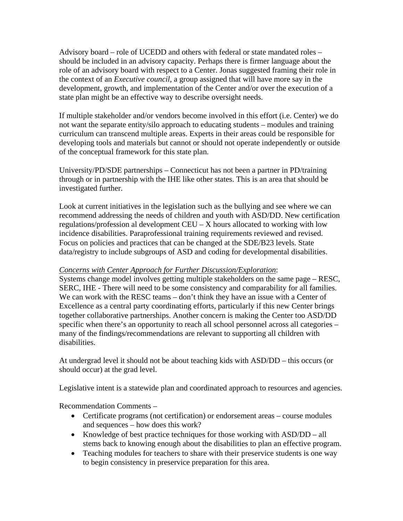Advisory board – role of UCEDD and others with federal or state mandated roles – should be included in an advisory capacity. Perhaps there is firmer language about the role of an advisory board with respect to a Center. Jonas suggested framing their role in the context of an *Executive council*, a group assigned that will have more say in the development, growth, and implementation of the Center and/or over the execution of a state plan might be an effective way to describe oversight needs.

If multiple stakeholder and/or vendors become involved in this effort (i.e. Center) we do not want the separate entity/silo approach to educating students – modules and training curriculum can transcend multiple areas. Experts in their areas could be responsible for developing tools and materials but cannot or should not operate independently or outside of the conceptual framework for this state plan.

University/PD/SDE partnerships – Connecticut has not been a partner in PD/training through or in partnership with the IHE like other states. This is an area that should be investigated further.

Look at current initiatives in the legislation such as the bullying and see where we can recommend addressing the needs of children and youth with ASD/DD. New certification regulations/profession al development CEU – X hours allocated to working with low incidence disabilities. Paraprofessional training requirements reviewed and revised. Focus on policies and practices that can be changed at the SDE/B23 levels. State data/registry to include subgroups of ASD and coding for developmental disabilities.

## *Concerns with Center Approach for Further Discussion/Exploration*:

Systems change model involves getting multiple stakeholders on the same page – RESC, SERC, IHE - There will need to be some consistency and comparability for all families. We can work with the RESC teams – don't think they have an issue with a Center of Excellence as a central party coordinating efforts, particularly if this new Center brings together collaborative partnerships. Another concern is making the Center too ASD/DD specific when there's an opportunity to reach all school personnel across all categories – many of the findings/recommendations are relevant to supporting all children with disabilities.

At undergrad level it should not be about teaching kids with ASD/DD – this occurs (or should occur) at the grad level.

Legislative intent is a statewide plan and coordinated approach to resources and agencies.

Recommendation Comments –

- Certificate programs (not certification) or endorsement areas course modules and sequences – how does this work?
- Knowledge of best practice techniques for those working with ASD/DD all stems back to knowing enough about the disabilities to plan an effective program.
- Teaching modules for teachers to share with their preservice students is one way to begin consistency in preservice preparation for this area.